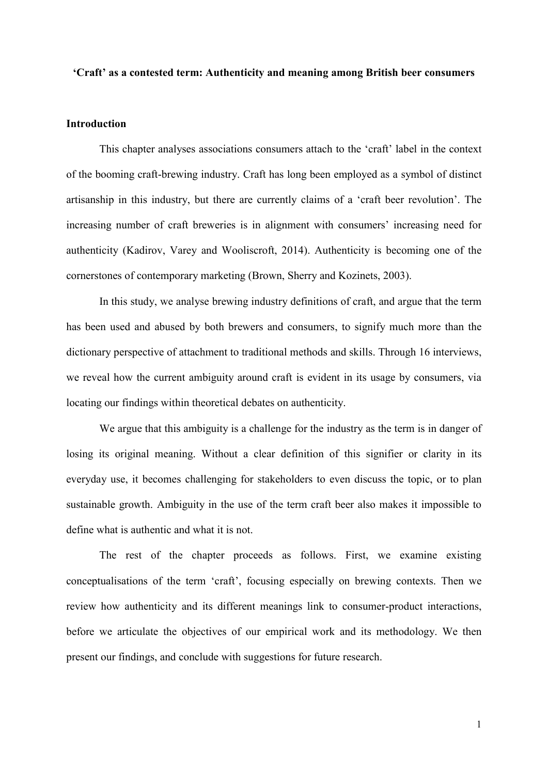#### **'Craft' as a contested term: Authenticity and meaning among British beer consumers**

#### **Introduction**

This chapter analyses associations consumers attach to the 'craft' label in the context of the booming craft-brewing industry. Craft has long been employed as a symbol of distinct artisanship in this industry, but there are currently claims of a 'craft beer revolution'. The increasing number of craft breweries is in alignment with consumers' increasing need for authenticity (Kadirov, Varey and Wooliscroft, 2014). Authenticity is becoming one of the cornerstones of contemporary marketing (Brown, Sherry and Kozinets, 2003).

In this study, we analyse brewing industry definitions of craft, and argue that the term has been used and abused by both brewers and consumers, to signify much more than the dictionary perspective of attachment to traditional methods and skills. Through 16 interviews, we reveal how the current ambiguity around craft is evident in its usage by consumers, via locating our findings within theoretical debates on authenticity.

We argue that this ambiguity is a challenge for the industry as the term is in danger of losing its original meaning. Without a clear definition of this signifier or clarity in its everyday use, it becomes challenging for stakeholders to even discuss the topic, or to plan sustainable growth. Ambiguity in the use of the term craft beer also makes it impossible to define what is authentic and what it is not.

The rest of the chapter proceeds as follows. First, we examine existing conceptualisations of the term 'craft', focusing especially on brewing contexts. Then we review how authenticity and its different meanings link to consumer-product interactions, before we articulate the objectives of our empirical work and its methodology. We then present our findings, and conclude with suggestions for future research.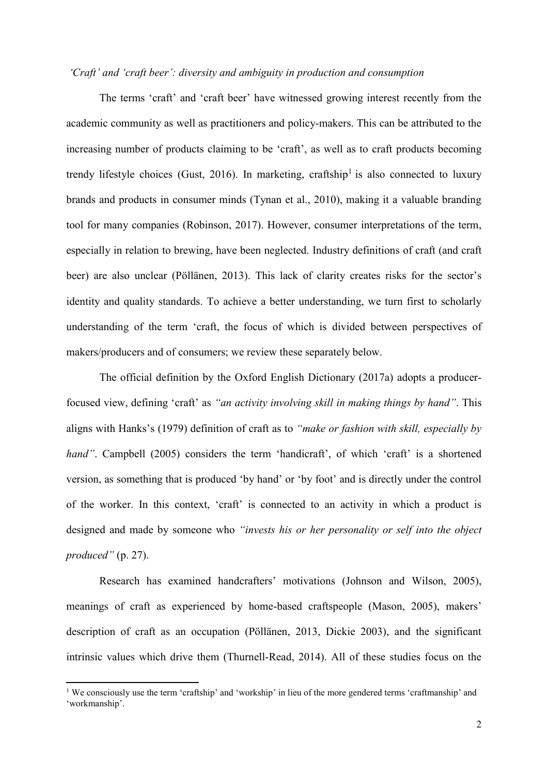#### *'Craft' and 'craft beer': diversity and ambiguity in production and consumption*

The terms 'craft' and 'craft beer' have witnessed growing interest recently from the academic community as well as practitioners and policy-makers. This can be attributed to the increasing number of products claiming to be 'craft', as well as to craft products becoming trendy lifestyle choices (Gust, 2016). In marketing, craftship<sup>1</sup> is also connected to luxury brands and products in consumer minds (Tynan et al., 2010), making it a valuable branding tool for many companies (Robinson, 2017). However, consumer interpretations of the term, especially in relation to brewing, have been neglected. Industry definitions of craft (and craft beer) are also unclear (Pöllänen, 2013). This lack of clarity creates risks for the sector's identity and quality standards. To achieve a better understanding, we turn first to scholarly understanding of the term 'craft, the focus of which is divided between perspectives of makers/producers and of consumers; we review these separately below.

The official definition by the Oxford English Dictionary (2017a) adopts a producerfocused view, defining 'craft' as *"an activity involving skill in making things by hand"*. This aligns with Hanks's (1979) definition of craft as to *"make or fashion with skill, especially by hand*<sup>"</sup>. Campbell (2005) considers the term 'handicraft', of which 'craft' is a shortened version, as something that is produced 'by hand' or 'by foot' and is directly under the control of the worker. In this context, 'craft' is connected to an activity in which a product is designed and made by someone who *"invests his or her personality or self into the object produced"* (p. 27).

Research has examined handcrafters' motivations (Johnson and Wilson, 2005), meanings of craft as experienced by home-based craftspeople (Mason, 2005), makers' description of craft as an occupation (Pöllänen, 2013, Dickie 2003), and the significant intrinsic values which drive them (Thurnell-Read, 2014). All of these studies focus on the

**.** 

<sup>1</sup> We consciously use the term 'craftship' and 'workship' in lieu of the more gendered terms 'craftmanship' and 'workmanship'.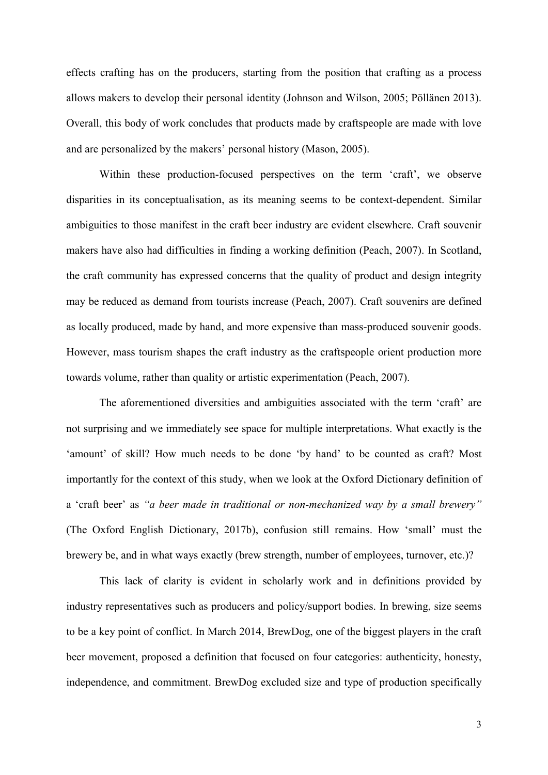effects crafting has on the producers, starting from the position that crafting as a process allows makers to develop their personal identity (Johnson and Wilson, 2005; Pöllänen 2013). Overall, this body of work concludes that products made by craftspeople are made with love and are personalized by the makers' personal history (Mason, 2005).

Within these production-focused perspectives on the term 'craft', we observe disparities in its conceptualisation, as its meaning seems to be context-dependent. Similar ambiguities to those manifest in the craft beer industry are evident elsewhere. Craft souvenir makers have also had difficulties in finding a working definition (Peach, 2007). In Scotland, the craft community has expressed concerns that the quality of product and design integrity may be reduced as demand from tourists increase (Peach, 2007). Craft souvenirs are defined as locally produced, made by hand, and more expensive than mass-produced souvenir goods. However, mass tourism shapes the craft industry as the craftspeople orient production more towards volume, rather than quality or artistic experimentation (Peach, 2007).

The aforementioned diversities and ambiguities associated with the term 'craft' are not surprising and we immediately see space for multiple interpretations. What exactly is the 'amount' of skill? How much needs to be done 'by hand' to be counted as craft? Most importantly for the context of this study, when we look at the Oxford Dictionary definition of a 'craft beer' as *"a beer made in traditional or non-mechanized way by a small brewery"* (The Oxford English Dictionary, 2017b), confusion still remains. How 'small' must the brewery be, and in what ways exactly (brew strength, number of employees, turnover, etc.)?

This lack of clarity is evident in scholarly work and in definitions provided by industry representatives such as producers and policy/support bodies. In brewing, size seems to be a key point of conflict. In March 2014, BrewDog, one of the biggest players in the craft beer movement, proposed a definition that focused on four categories: authenticity, honesty, independence, and commitment. BrewDog excluded size and type of production specifically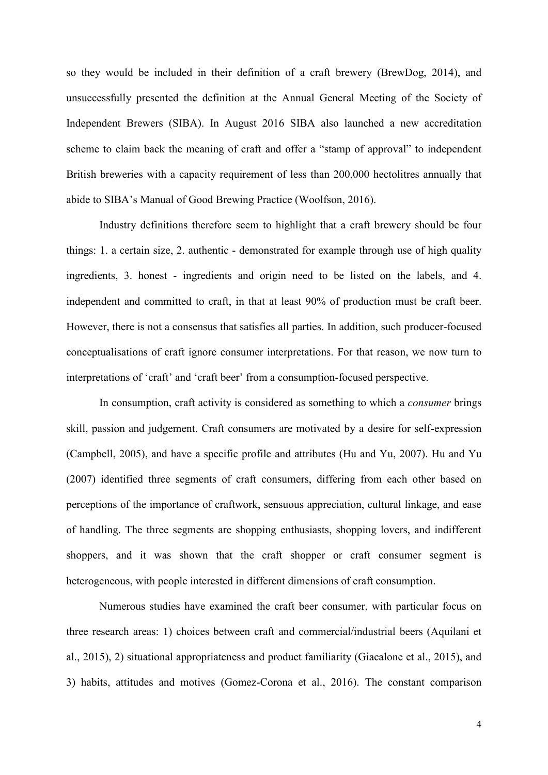so they would be included in their definition of a craft brewery (BrewDog, 2014), and unsuccessfully presented the definition at the Annual General Meeting of the Society of Independent Brewers (SIBA). In August 2016 SIBA also launched a new accreditation scheme to claim back the meaning of craft and offer a "stamp of approval" to independent British breweries with a capacity requirement of less than 200,000 hectolitres annually that abide to SIBA's Manual of Good Brewing Practice (Woolfson, 2016).

Industry definitions therefore seem to highlight that a craft brewery should be four things: 1. a certain size, 2. authentic - demonstrated for example through use of high quality ingredients, 3. honest - ingredients and origin need to be listed on the labels, and 4. independent and committed to craft, in that at least 90% of production must be craft beer. However, there is not a consensus that satisfies all parties. In addition, such producer-focused conceptualisations of craft ignore consumer interpretations. For that reason, we now turn to interpretations of 'craft' and 'craft beer' from a consumption-focused perspective.

In consumption, craft activity is considered as something to which a *consumer* brings skill, passion and judgement. Craft consumers are motivated by a desire for self-expression (Campbell, 2005), and have a specific profile and attributes (Hu and Yu, 2007). Hu and Yu (2007) identified three segments of craft consumers, differing from each other based on perceptions of the importance of craftwork, sensuous appreciation, cultural linkage, and ease of handling. The three segments are shopping enthusiasts, shopping lovers, and indifferent shoppers, and it was shown that the craft shopper or craft consumer segment is heterogeneous, with people interested in different dimensions of craft consumption.

Numerous studies have examined the craft beer consumer, with particular focus on three research areas: 1) choices between craft and commercial/industrial beers (Aquilani et al., 2015), 2) situational appropriateness and product familiarity (Giacalone et al., 2015), and 3) habits, attitudes and motives (Gomez-Corona et al., 2016). The constant comparison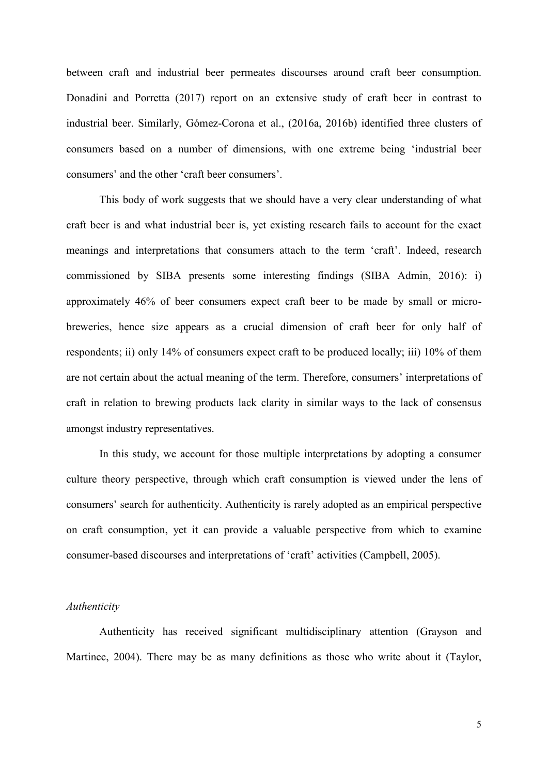between craft and industrial beer permeates discourses around craft beer consumption. Donadini and Porretta (2017) report on an extensive study of craft beer in contrast to industrial beer. Similarly, Gómez-Corona et al., (2016a, 2016b) identified three clusters of consumers based on a number of dimensions, with one extreme being 'industrial beer consumers' and the other 'craft beer consumers'.

This body of work suggests that we should have a very clear understanding of what craft beer is and what industrial beer is, yet existing research fails to account for the exact meanings and interpretations that consumers attach to the term 'craft'. Indeed, research commissioned by SIBA presents some interesting findings (SIBA Admin, 2016): i) approximately 46% of beer consumers expect craft beer to be made by small or microbreweries, hence size appears as a crucial dimension of craft beer for only half of respondents; ii) only 14% of consumers expect craft to be produced locally; iii) 10% of them are not certain about the actual meaning of the term. Therefore, consumers' interpretations of craft in relation to brewing products lack clarity in similar ways to the lack of consensus amongst industry representatives.

In this study, we account for those multiple interpretations by adopting a consumer culture theory perspective, through which craft consumption is viewed under the lens of consumers' search for authenticity. Authenticity is rarely adopted as an empirical perspective on craft consumption, yet it can provide a valuable perspective from which to examine consumer-based discourses and interpretations of 'craft' activities (Campbell, 2005).

#### *Authenticity*

Authenticity has received significant multidisciplinary attention (Grayson and Martinec, 2004). There may be as many definitions as those who write about it (Taylor,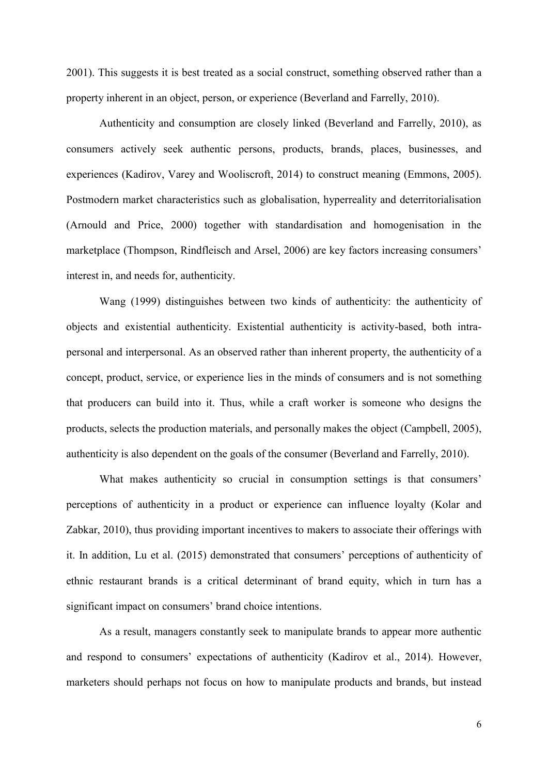2001). This suggests it is best treated as a social construct, something observed rather than a property inherent in an object, person, or experience (Beverland and Farrelly, 2010).

Authenticity and consumption are closely linked (Beverland and Farrelly, 2010), as consumers actively seek authentic persons, products, brands, places, businesses, and experiences (Kadirov, Varey and Wooliscroft, 2014) to construct meaning (Emmons, 2005). Postmodern market characteristics such as globalisation, hyperreality and deterritorialisation (Arnould and Price, 2000) together with standardisation and homogenisation in the marketplace (Thompson, Rindfleisch and Arsel, 2006) are key factors increasing consumers' interest in, and needs for, authenticity.

Wang (1999) distinguishes between two kinds of authenticity: the authenticity of objects and existential authenticity. Existential authenticity is activity-based, both intrapersonal and interpersonal. As an observed rather than inherent property, the authenticity of a concept, product, service, or experience lies in the minds of consumers and is not something that producers can build into it. Thus, while a craft worker is someone who designs the products, selects the production materials, and personally makes the object (Campbell, 2005), authenticity is also dependent on the goals of the consumer (Beverland and Farrelly, 2010).

What makes authenticity so crucial in consumption settings is that consumers' perceptions of authenticity in a product or experience can influence loyalty (Kolar and Zabkar, 2010), thus providing important incentives to makers to associate their offerings with it. In addition, Lu et al. (2015) demonstrated that consumers' perceptions of authenticity of ethnic restaurant brands is a critical determinant of brand equity, which in turn has a significant impact on consumers' brand choice intentions.

As a result, managers constantly seek to manipulate brands to appear more authentic and respond to consumers' expectations of authenticity (Kadirov et al., 2014). However, marketers should perhaps not focus on how to manipulate products and brands, but instead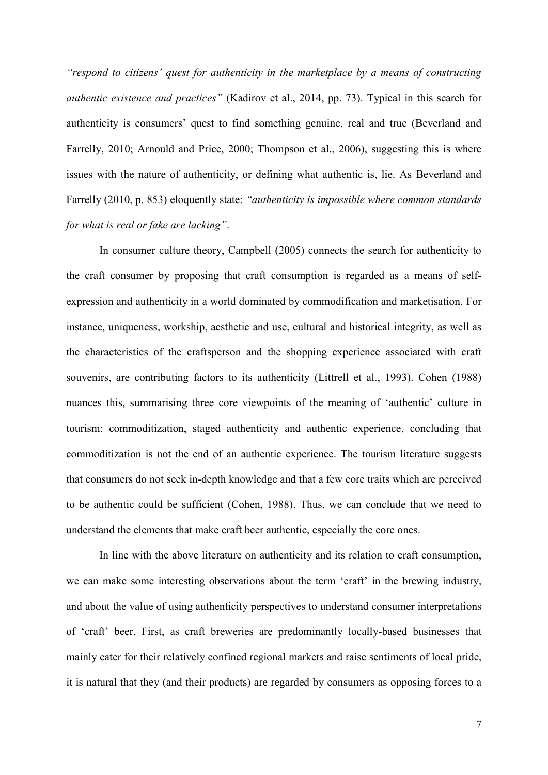*"respond to citizens' quest for authenticity in the marketplace by a means of constructing authentic existence and practices"* (Kadirov et al., 2014, pp. 73). Typical in this search for authenticity is consumers' quest to find something genuine, real and true (Beverland and Farrelly, 2010; Arnould and Price, 2000; Thompson et al., 2006), suggesting this is where issues with the nature of authenticity, or defining what authentic is, lie. As Beverland and Farrelly (2010, p. 853) eloquently state: *"authenticity is impossible where common standards for what is real or fake are lacking"*.

In consumer culture theory, Campbell (2005) connects the search for authenticity to the craft consumer by proposing that craft consumption is regarded as a means of selfexpression and authenticity in a world dominated by commodification and marketisation. For instance, uniqueness, workship, aesthetic and use, cultural and historical integrity, as well as the characteristics of the craftsperson and the shopping experience associated with craft souvenirs, are contributing factors to its authenticity (Littrell et al., 1993). Cohen (1988) nuances this, summarising three core viewpoints of the meaning of 'authentic' culture in tourism: commoditization, staged authenticity and authentic experience, concluding that commoditization is not the end of an authentic experience. The tourism literature suggests that consumers do not seek in-depth knowledge and that a few core traits which are perceived to be authentic could be sufficient (Cohen, 1988). Thus, we can conclude that we need to understand the elements that make craft beer authentic, especially the core ones.

In line with the above literature on authenticity and its relation to craft consumption, we can make some interesting observations about the term 'craft' in the brewing industry, and about the value of using authenticity perspectives to understand consumer interpretations of 'craft' beer. First, as craft breweries are predominantly locally-based businesses that mainly cater for their relatively confined regional markets and raise sentiments of local pride, it is natural that they (and their products) are regarded by consumers as opposing forces to a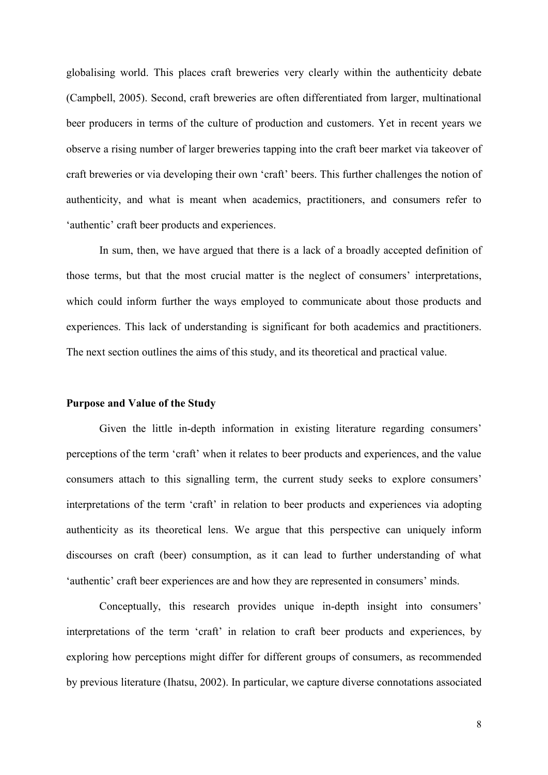globalising world. This places craft breweries very clearly within the authenticity debate (Campbell, 2005). Second, craft breweries are often differentiated from larger, multinational beer producers in terms of the culture of production and customers. Yet in recent years we observe a rising number of larger breweries tapping into the craft beer market via takeover of craft breweries or via developing their own 'craft' beers. This further challenges the notion of authenticity, and what is meant when academics, practitioners, and consumers refer to 'authentic' craft beer products and experiences.

In sum, then, we have argued that there is a lack of a broadly accepted definition of those terms, but that the most crucial matter is the neglect of consumers' interpretations, which could inform further the ways employed to communicate about those products and experiences. This lack of understanding is significant for both academics and practitioners. The next section outlines the aims of this study, and its theoretical and practical value.

#### **Purpose and Value of the Study**

Given the little in-depth information in existing literature regarding consumers' perceptions of the term 'craft' when it relates to beer products and experiences, and the value consumers attach to this signalling term, the current study seeks to explore consumers' interpretations of the term 'craft' in relation to beer products and experiences via adopting authenticity as its theoretical lens. We argue that this perspective can uniquely inform discourses on craft (beer) consumption, as it can lead to further understanding of what 'authentic' craft beer experiences are and how they are represented in consumers' minds.

Conceptually, this research provides unique in-depth insight into consumers' interpretations of the term 'craft' in relation to craft beer products and experiences, by exploring how perceptions might differ for different groups of consumers, as recommended by previous literature (Ihatsu, 2002). In particular, we capture diverse connotations associated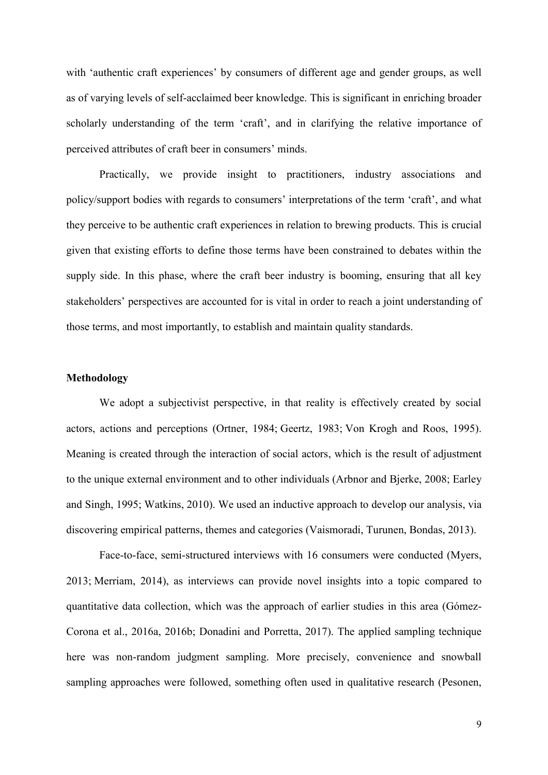with 'authentic craft experiences' by consumers of different age and gender groups, as well as of varying levels of self-acclaimed beer knowledge. This is significant in enriching broader scholarly understanding of the term 'craft', and in clarifying the relative importance of perceived attributes of craft beer in consumers' minds.

Practically, we provide insight to practitioners, industry associations and policy/support bodies with regards to consumers' interpretations of the term 'craft', and what they perceive to be authentic craft experiences in relation to brewing products. This is crucial given that existing efforts to define those terms have been constrained to debates within the supply side. In this phase, where the craft beer industry is booming, ensuring that all key stakeholders' perspectives are accounted for is vital in order to reach a joint understanding of those terms, and most importantly, to establish and maintain quality standards.

### **Methodology**

We adopt a subjectivist perspective, in that reality is effectively created by social actors, actions and perceptions [\(Ortner, 1984;](#page-25-0) [Geertz, 1983;](#page-23-0) [Von Krogh and Roos, 1995\)](#page-27-0). Meaning is created through the interaction of social actors, which is the result of adjustment to the unique external environment and to other individuals [\(Arbnor and Bjerke, 2008;](#page-22-0) [Earley](#page-23-1)  [and Singh, 1995;](#page-23-1) [Watkins, 2010\)](#page-27-1). We used an inductive approach to develop our analysis, via discovering empirical patterns, themes and categories (Vaismoradi, Turunen, Bondas, 2013).

Face-to-face, semi-structured interviews with 16 consumers were conducted [\(Myers,](#page-25-1)  [2013;](#page-25-1) [Merriam, 2014\)](#page-25-2), as interviews can provide novel insights into a topic compared to quantitative data collection, which was the approach of earlier studies in this area (Gómez-Corona et al., 2016a, 2016b; Donadini and Porretta, 2017). The applied sampling technique here was non-random judgment sampling. More precisely, convenience and snowball sampling approaches were followed, something often used in qualitative research (Pesonen,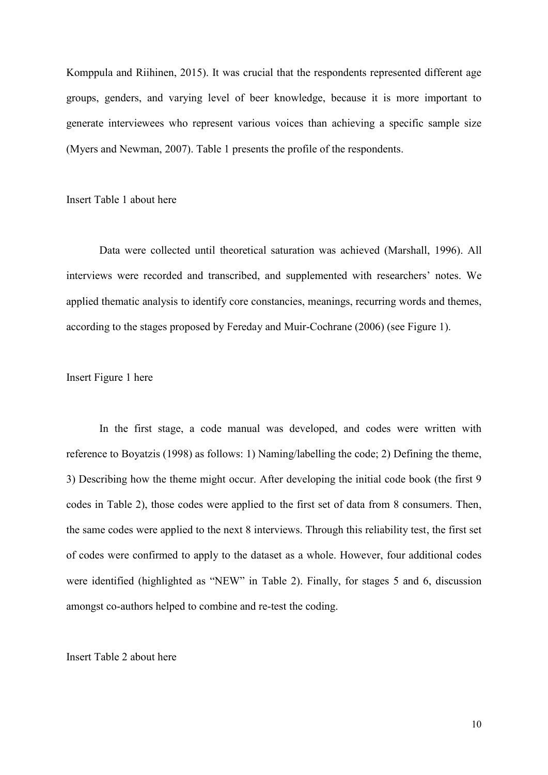Komppula and Riihinen, 2015). It was crucial that the respondents represented different age groups, genders, and varying level of beer knowledge, because it is more important to generate interviewees who represent various voices than achieving a specific sample size (Myers and Newman, 2007). Table 1 presents the profile of the respondents.

Insert Table 1 about here

Data were collected until theoretical saturation was achieved [\(Marshall, 1996\)](#page-25-3). All interviews were recorded and transcribed, and supplemented with researchers' notes. We applied thematic analysis to identify core constancies, meanings, recurring words and themes, according to the stages proposed by Fereday and Muir-Cochrane (2006) (see Figure 1).

### Insert Figure 1 here

In the first stage, a code manual was developed, and codes were written with reference to Boyatzis (1998) as follows: 1) Naming/labelling the code; 2) Defining the theme, 3) Describing how the theme might occur. After developing the initial code book (the first 9 codes in Table 2), those codes were applied to the first set of data from 8 consumers. Then, the same codes were applied to the next 8 interviews. Through this reliability test, the first set of codes were confirmed to apply to the dataset as a whole. However, four additional codes were identified (highlighted as "NEW" in Table 2). Finally, for stages 5 and 6, discussion amongst co-authors helped to combine and re-test the coding.

#### Insert Table 2 about here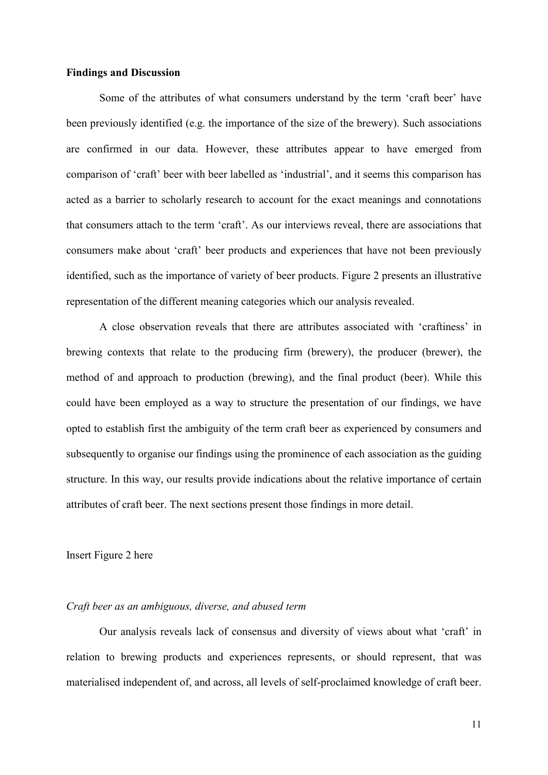#### **Findings and Discussion**

Some of the attributes of what consumers understand by the term 'craft beer' have been previously identified (e.g. the importance of the size of the brewery). Such associations are confirmed in our data. However, these attributes appear to have emerged from comparison of 'craft' beer with beer labelled as 'industrial', and it seems this comparison has acted as a barrier to scholarly research to account for the exact meanings and connotations that consumers attach to the term 'craft'. As our interviews reveal, there are associations that consumers make about 'craft' beer products and experiences that have not been previously identified, such as the importance of variety of beer products. Figure 2 presents an illustrative representation of the different meaning categories which our analysis revealed.

A close observation reveals that there are attributes associated with 'craftiness' in brewing contexts that relate to the producing firm (brewery), the producer (brewer), the method of and approach to production (brewing), and the final product (beer). While this could have been employed as a way to structure the presentation of our findings, we have opted to establish first the ambiguity of the term craft beer as experienced by consumers and subsequently to organise our findings using the prominence of each association as the guiding structure. In this way, our results provide indications about the relative importance of certain attributes of craft beer. The next sections present those findings in more detail.

#### Insert Figure 2 here

#### *Craft beer as an ambiguous, diverse, and abused term*

Our analysis reveals lack of consensus and diversity of views about what 'craft' in relation to brewing products and experiences represents, or should represent, that was materialised independent of, and across, all levels of self-proclaimed knowledge of craft beer.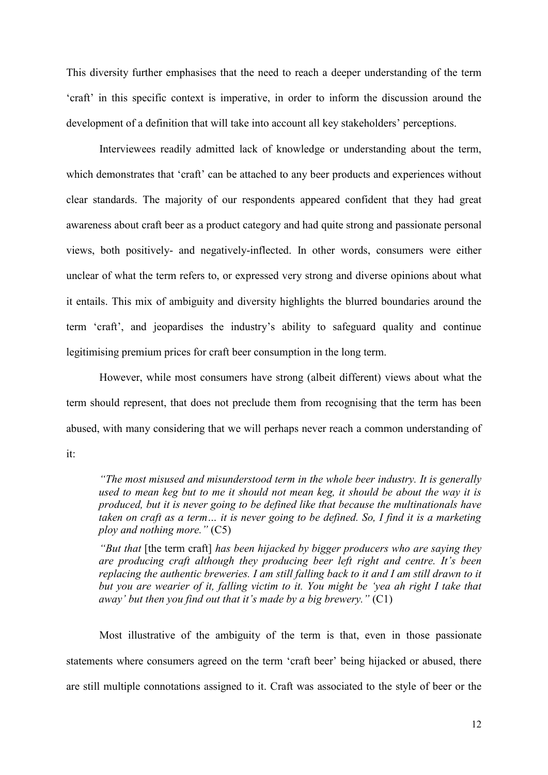This diversity further emphasises that the need to reach a deeper understanding of the term 'craft' in this specific context is imperative, in order to inform the discussion around the development of a definition that will take into account all key stakeholders' perceptions.

Interviewees readily admitted lack of knowledge or understanding about the term, which demonstrates that 'craft' can be attached to any beer products and experiences without clear standards. The majority of our respondents appeared confident that they had great awareness about craft beer as a product category and had quite strong and passionate personal views, both positively- and negatively-inflected. In other words, consumers were either unclear of what the term refers to, or expressed very strong and diverse opinions about what it entails. This mix of ambiguity and diversity highlights the blurred boundaries around the term 'craft', and jeopardises the industry's ability to safeguard quality and continue legitimising premium prices for craft beer consumption in the long term.

However, while most consumers have strong (albeit different) views about what the term should represent, that does not preclude them from recognising that the term has been abused, with many considering that we will perhaps never reach a common understanding of

it:

*"The most misused and misunderstood term in the whole beer industry. It is generally used to mean keg but to me it should not mean keg, it should be about the way it is produced, but it is never going to be defined like that because the multinationals have taken on craft as a term… it is never going to be defined. So, I find it is a marketing ploy and nothing more."* (C5)

*"But that* [the term craft] *has been hijacked by bigger producers who are saying they are producing craft although they producing beer left right and centre. It's been replacing the authentic breweries. I am still falling back to it and I am still drawn to it but you are wearier of it, falling victim to it. You might be 'yea ah right I take that away' but then you find out that it's made by a big brewery."* (C1)

Most illustrative of the ambiguity of the term is that, even in those passionate statements where consumers agreed on the term 'craft beer' being hijacked or abused, there are still multiple connotations assigned to it. Craft was associated to the style of beer or the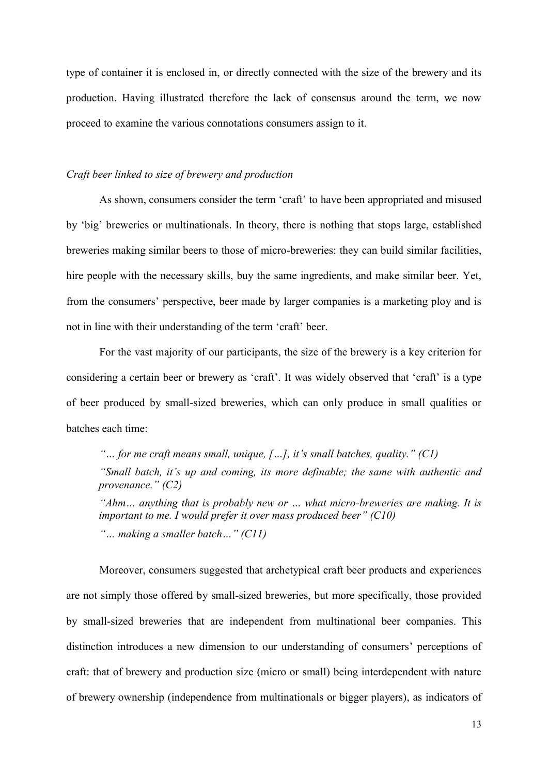type of container it is enclosed in, or directly connected with the size of the brewery and its production. Having illustrated therefore the lack of consensus around the term, we now proceed to examine the various connotations consumers assign to it.

#### *Craft beer linked to size of brewery and production*

As shown, consumers consider the term 'craft' to have been appropriated and misused by 'big' breweries or multinationals. In theory, there is nothing that stops large, established breweries making similar beers to those of micro-breweries: they can build similar facilities, hire people with the necessary skills, buy the same ingredients, and make similar beer. Yet, from the consumers' perspective, beer made by larger companies is a marketing ploy and is not in line with their understanding of the term 'craft' beer.

For the vast majority of our participants, the size of the brewery is a key criterion for considering a certain beer or brewery as 'craft'. It was widely observed that 'craft' is a type of beer produced by small-sized breweries, which can only produce in small qualities or batches each time:

*"… for me craft means small, unique, […], it's small batches, quality." (C1) "Small batch, it's up and coming, its more definable; the same with authentic and provenance." (C2)*

*"Ahm… anything that is probably new or … what micro-breweries are making. It is important to me. I would prefer it over mass produced beer" (C10) "… making a smaller batch…" (C11)*

Moreover, consumers suggested that archetypical craft beer products and experiences are not simply those offered by small-sized breweries, but more specifically, those provided by small-sized breweries that are independent from multinational beer companies. This distinction introduces a new dimension to our understanding of consumers' perceptions of craft: that of brewery and production size (micro or small) being interdependent with nature of brewery ownership (independence from multinationals or bigger players), as indicators of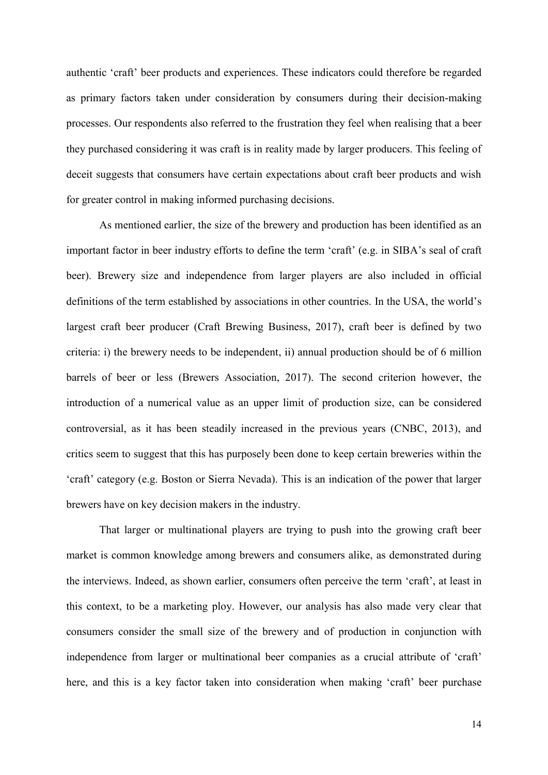authentic 'craft' beer products and experiences. These indicators could therefore be regarded as primary factors taken under consideration by consumers during their decision-making processes. Our respondents also referred to the frustration they feel when realising that a beer they purchased considering it was craft is in reality made by larger producers. This feeling of deceit suggests that consumers have certain expectations about craft beer products and wish for greater control in making informed purchasing decisions.

As mentioned earlier, the size of the brewery and production has been identified as an important factor in beer industry efforts to define the term 'craft' (e.g. in SIBA's seal of craft beer). Brewery size and independence from larger players are also included in official definitions of the term established by associations in other countries. In the USA, the world's largest craft beer producer (Craft Brewing Business, 2017), craft beer is defined by two criteria: i) the brewery needs to be independent, ii) annual production should be of 6 million barrels of beer or less (Brewers Association, 2017). The second criterion however, the introduction of a numerical value as an upper limit of production size, can be considered controversial, as it has been steadily increased in the previous years (CNBC, 2013), and critics seem to suggest that this has purposely been done to keep certain breweries within the 'craft' category (e.g. Boston or Sierra Nevada). This is an indication of the power that larger brewers have on key decision makers in the industry.

That larger or multinational players are trying to push into the growing craft beer market is common knowledge among brewers and consumers alike, as demonstrated during the interviews. Indeed, as shown earlier, consumers often perceive the term 'craft', at least in this context, to be a marketing ploy. However, our analysis has also made very clear that consumers consider the small size of the brewery and of production in conjunction with independence from larger or multinational beer companies as a crucial attribute of 'craft' here, and this is a key factor taken into consideration when making 'craft' beer purchase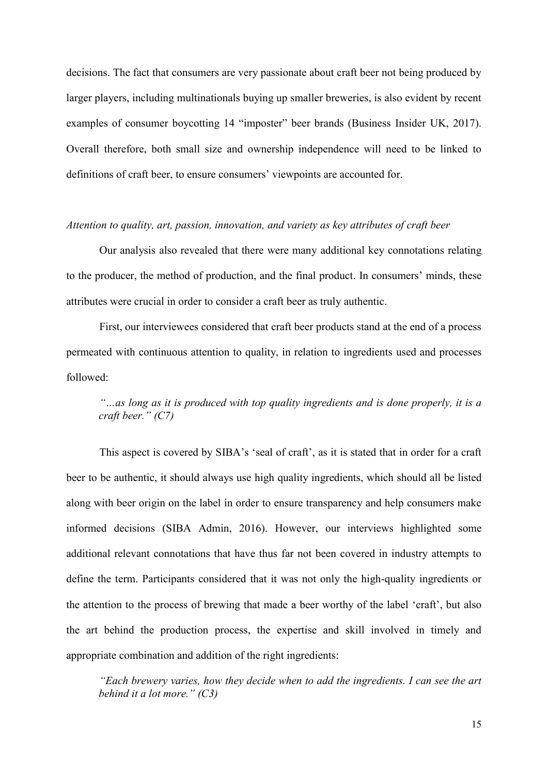decisions. The fact that consumers are very passionate about craft beer not being produced by larger players, including multinationals buying up smaller breweries, is also evident by recent examples of consumer boycotting 14 "imposter" beer brands (Business Insider UK, 2017). Overall therefore, both small size and ownership independence will need to be linked to definitions of craft beer, to ensure consumers' viewpoints are accounted for.

#### *Attention to quality, art, passion, innovation, and variety as key attributes of craft beer*

Our analysis also revealed that there were many additional key connotations relating to the producer, the method of production, and the final product. In consumers' minds, these attributes were crucial in order to consider a craft beer as truly authentic.

First, our interviewees considered that craft beer products stand at the end of a process permeated with continuous attention to quality, in relation to ingredients used and processes followed:

## *"…as long as it is produced with top quality ingredients and is done properly, it is a craft beer." (C7)*

This aspect is covered by SIBA's 'seal of craft', as it is stated that in order for a craft beer to be authentic, it should always use high quality ingredients, which should all be listed along with beer origin on the label in order to ensure transparency and help consumers make informed decisions (SIBA Admin, 2016). However, our interviews highlighted some additional relevant connotations that have thus far not been covered in industry attempts to define the term. Participants considered that it was not only the high-quality ingredients or the attention to the process of brewing that made a beer worthy of the label 'craft', but also the art behind the production process, the expertise and skill involved in timely and appropriate combination and addition of the right ingredients:

*"Each brewery varies, how they decide when to add the ingredients. I can see the art behind it a lot more." (C3)*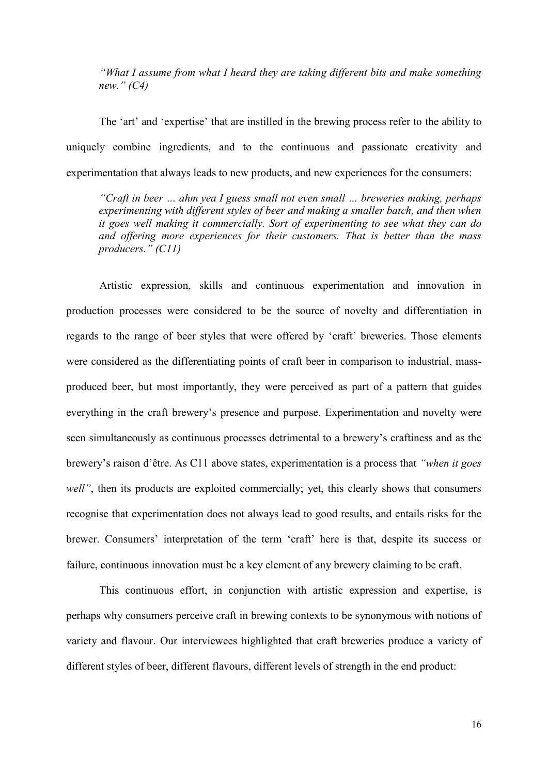*"What I assume from what I heard they are taking different bits and make something new." (C4)*

The 'art' and 'expertise' that are instilled in the brewing process refer to the ability to uniquely combine ingredients, and to the continuous and passionate creativity and experimentation that always leads to new products, and new experiences for the consumers:

*"Craft in beer … ahm yea I guess small not even small … breweries making, perhaps experimenting with different styles of beer and making a smaller batch, and then when it goes well making it commercially. Sort of experimenting to see what they can do and offering more experiences for their customers. That is better than the mass producers." (C11)*

Artistic expression, skills and continuous experimentation and innovation in production processes were considered to be the source of novelty and differentiation in regards to the range of beer styles that were offered by 'craft' breweries. Those elements were considered as the differentiating points of craft beer in comparison to industrial, massproduced beer, but most importantly, they were perceived as part of a pattern that guides everything in the craft brewery's presence and purpose. Experimentation and novelty were seen simultaneously as continuous processes detrimental to a brewery's craftiness and as the brewery's raison d'être. As C11 above states, experimentation is a process that *"when it goes well*", then its products are exploited commercially; yet, this clearly shows that consumers recognise that experimentation does not always lead to good results, and entails risks for the brewer. Consumers' interpretation of the term 'craft' here is that, despite its success or failure, continuous innovation must be a key element of any brewery claiming to be craft.

This continuous effort, in conjunction with artistic expression and expertise, is perhaps why consumers perceive craft in brewing contexts to be synonymous with notions of variety and flavour. Our interviewees highlighted that craft breweries produce a variety of different styles of beer, different flavours, different levels of strength in the end product: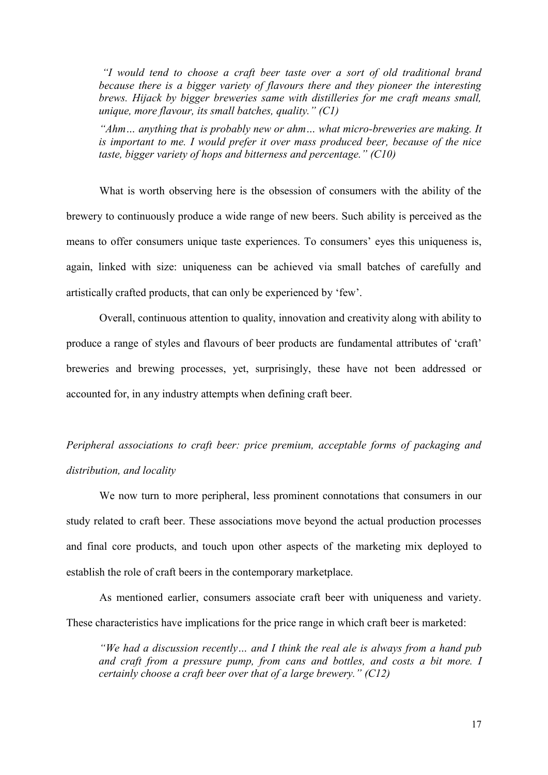*"I would tend to choose a craft beer taste over a sort of old traditional brand because there is a bigger variety of flavours there and they pioneer the interesting brews. Hijack by bigger breweries same with distilleries for me craft means small, unique, more flavour, its small batches, quality." (C1)*

*"Ahm… anything that is probably new or ahm… what micro-breweries are making. It is important to me. I would prefer it over mass produced beer, because of the nice taste, bigger variety of hops and bitterness and percentage." (C10)*

What is worth observing here is the obsession of consumers with the ability of the brewery to continuously produce a wide range of new beers. Such ability is perceived as the means to offer consumers unique taste experiences. To consumers' eyes this uniqueness is, again, linked with size: uniqueness can be achieved via small batches of carefully and artistically crafted products, that can only be experienced by 'few'.

Overall, continuous attention to quality, innovation and creativity along with ability to produce a range of styles and flavours of beer products are fundamental attributes of 'craft' breweries and brewing processes, yet, surprisingly, these have not been addressed or accounted for, in any industry attempts when defining craft beer.

# *Peripheral associations to craft beer: price premium, acceptable forms of packaging and distribution, and locality*

We now turn to more peripheral, less prominent connotations that consumers in our study related to craft beer. These associations move beyond the actual production processes and final core products, and touch upon other aspects of the marketing mix deployed to establish the role of craft beers in the contemporary marketplace.

As mentioned earlier, consumers associate craft beer with uniqueness and variety. These characteristics have implications for the price range in which craft beer is marketed:

*"We had a discussion recently… and I think the real ale is always from a hand pub and craft from a pressure pump, from cans and bottles, and costs a bit more. I certainly choose a craft beer over that of a large brewery." (C12)*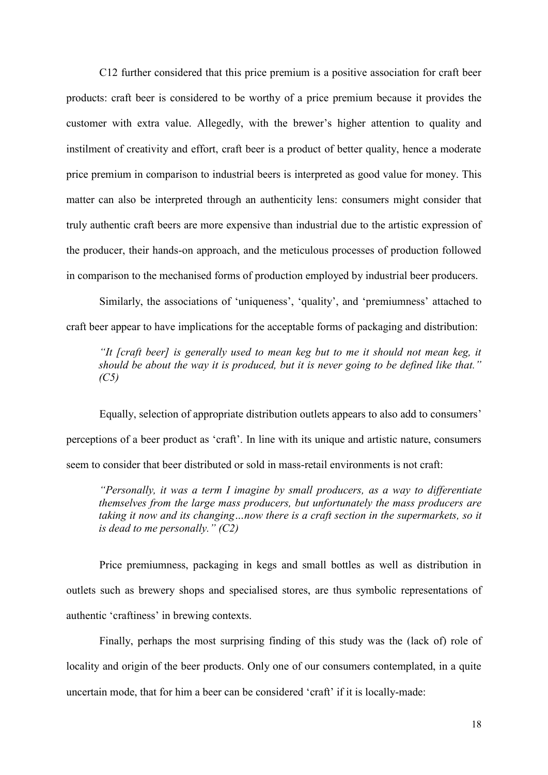C12 further considered that this price premium is a positive association for craft beer products: craft beer is considered to be worthy of a price premium because it provides the customer with extra value. Allegedly, with the brewer's higher attention to quality and instilment of creativity and effort, craft beer is a product of better quality, hence a moderate price premium in comparison to industrial beers is interpreted as good value for money. This matter can also be interpreted through an authenticity lens: consumers might consider that truly authentic craft beers are more expensive than industrial due to the artistic expression of the producer, their hands-on approach, and the meticulous processes of production followed in comparison to the mechanised forms of production employed by industrial beer producers.

Similarly, the associations of 'uniqueness', 'quality', and 'premiumness' attached to craft beer appear to have implications for the acceptable forms of packaging and distribution:

*"It [craft beer] is generally used to mean keg but to me it should not mean keg, it should be about the way it is produced, but it is never going to be defined like that." (C5)*

Equally, selection of appropriate distribution outlets appears to also add to consumers' perceptions of a beer product as 'craft'. In line with its unique and artistic nature, consumers seem to consider that beer distributed or sold in mass-retail environments is not craft:

*"Personally, it was a term I imagine by small producers, as a way to differentiate themselves from the large mass producers, but unfortunately the mass producers are taking it now and its changing…now there is a craft section in the supermarkets, so it is dead to me personally." (C2)*

Price premiumness, packaging in kegs and small bottles as well as distribution in outlets such as brewery shops and specialised stores, are thus symbolic representations of authentic 'craftiness' in brewing contexts.

Finally, perhaps the most surprising finding of this study was the (lack of) role of locality and origin of the beer products. Only one of our consumers contemplated, in a quite uncertain mode, that for him a beer can be considered 'craft' if it is locally-made: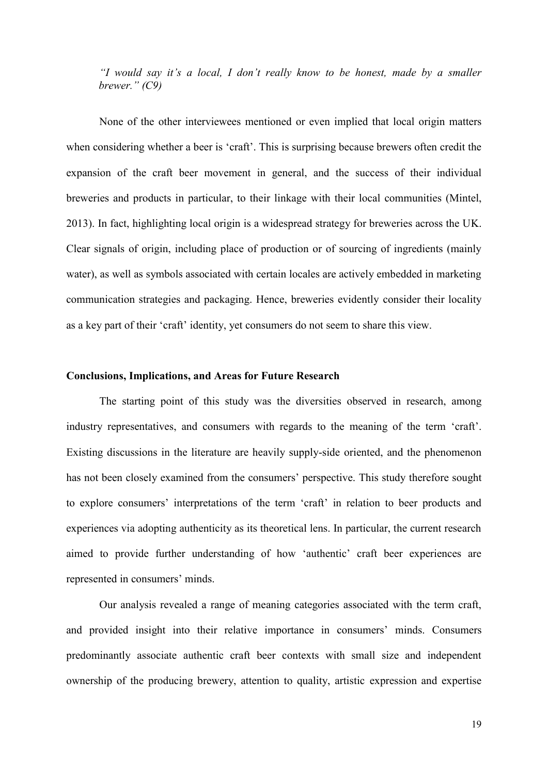*"I would say it's a local, I don't really know to be honest, made by a smaller brewer." (C9)*

None of the other interviewees mentioned or even implied that local origin matters when considering whether a beer is 'craft'. This is surprising because brewers often credit the expansion of the craft beer movement in general, and the success of their individual breweries and products in particular, to their linkage with their local communities (Mintel, 2013). In fact, highlighting local origin is a widespread strategy for breweries across the UK. Clear signals of origin, including place of production or of sourcing of ingredients (mainly water), as well as symbols associated with certain locales are actively embedded in marketing communication strategies and packaging. Hence, breweries evidently consider their locality as a key part of their 'craft' identity, yet consumers do not seem to share this view.

#### **Conclusions, Implications, and Areas for Future Research**

The starting point of this study was the diversities observed in research, among industry representatives, and consumers with regards to the meaning of the term 'craft'. Existing discussions in the literature are heavily supply-side oriented, and the phenomenon has not been closely examined from the consumers' perspective. This study therefore sought to explore consumers' interpretations of the term 'craft' in relation to beer products and experiences via adopting authenticity as its theoretical lens. In particular, the current research aimed to provide further understanding of how 'authentic' craft beer experiences are represented in consumers' minds.

Our analysis revealed a range of meaning categories associated with the term craft, and provided insight into their relative importance in consumers' minds. Consumers predominantly associate authentic craft beer contexts with small size and independent ownership of the producing brewery, attention to quality, artistic expression and expertise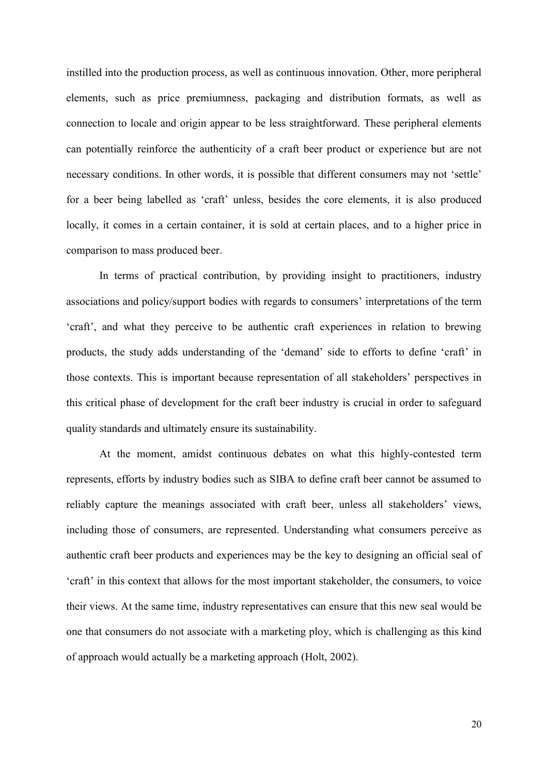instilled into the production process, as well as continuous innovation. Other, more peripheral elements, such as price premiumness, packaging and distribution formats, as well as connection to locale and origin appear to be less straightforward. These peripheral elements can potentially reinforce the authenticity of a craft beer product or experience but are not necessary conditions. In other words, it is possible that different consumers may not 'settle' for a beer being labelled as 'craft' unless, besides the core elements, it is also produced locally, it comes in a certain container, it is sold at certain places, and to a higher price in comparison to mass produced beer.

In terms of practical contribution, by providing insight to practitioners, industry associations and policy/support bodies with regards to consumers' interpretations of the term 'craft', and what they perceive to be authentic craft experiences in relation to brewing products, the study adds understanding of the 'demand' side to efforts to define 'craft' in those contexts. This is important because representation of all stakeholders' perspectives in this critical phase of development for the craft beer industry is crucial in order to safeguard quality standards and ultimately ensure its sustainability.

At the moment, amidst continuous debates on what this highly-contested term represents, efforts by industry bodies such as SIBA to define craft beer cannot be assumed to reliably capture the meanings associated with craft beer, unless all stakeholders' views, including those of consumers, are represented. Understanding what consumers perceive as authentic craft beer products and experiences may be the key to designing an official seal of 'craft' in this context that allows for the most important stakeholder, the consumers, to voice their views. At the same time, industry representatives can ensure that this new seal would be one that consumers do not associate with a marketing ploy, which is challenging as this kind of approach would actually be a marketing approach (Holt, 2002).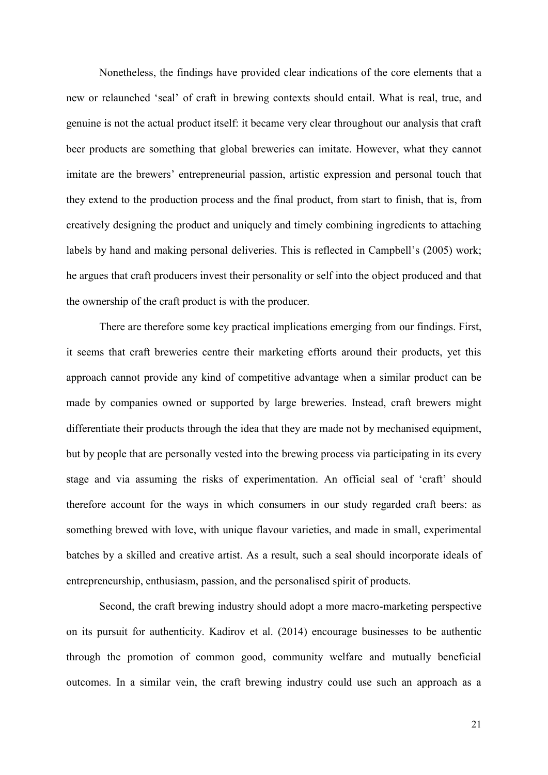Nonetheless, the findings have provided clear indications of the core elements that a new or relaunched 'seal' of craft in brewing contexts should entail. What is real, true, and genuine is not the actual product itself: it became very clear throughout our analysis that craft beer products are something that global breweries can imitate. However, what they cannot imitate are the brewers' entrepreneurial passion, artistic expression and personal touch that they extend to the production process and the final product, from start to finish, that is, from creatively designing the product and uniquely and timely combining ingredients to attaching labels by hand and making personal deliveries. This is reflected in Campbell's (2005) work; he argues that craft producers invest their personality or self into the object produced and that the ownership of the craft product is with the producer.

There are therefore some key practical implications emerging from our findings. First, it seems that craft breweries centre their marketing efforts around their products, yet this approach cannot provide any kind of competitive advantage when a similar product can be made by companies owned or supported by large breweries. Instead, craft brewers might differentiate their products through the idea that they are made not by mechanised equipment, but by people that are personally vested into the brewing process via participating in its every stage and via assuming the risks of experimentation. An official seal of 'craft' should therefore account for the ways in which consumers in our study regarded craft beers: as something brewed with love, with unique flavour varieties, and made in small, experimental batches by a skilled and creative artist. As a result, such a seal should incorporate ideals of entrepreneurship, enthusiasm, passion, and the personalised spirit of products.

Second, the craft brewing industry should adopt a more macro-marketing perspective on its pursuit for authenticity. Kadirov et al. (2014) encourage businesses to be authentic through the promotion of common good, community welfare and mutually beneficial outcomes. In a similar vein, the craft brewing industry could use such an approach as a

21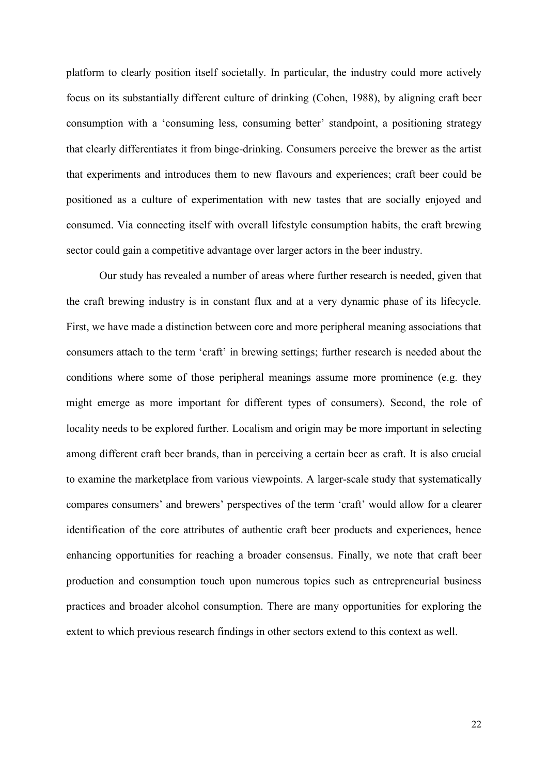platform to clearly position itself societally. In particular, the industry could more actively focus on its substantially different culture of drinking (Cohen, 1988), by aligning craft beer consumption with a 'consuming less, consuming better' standpoint, a positioning strategy that clearly differentiates it from binge-drinking. Consumers perceive the brewer as the artist that experiments and introduces them to new flavours and experiences; craft beer could be positioned as a culture of experimentation with new tastes that are socially enjoyed and consumed. Via connecting itself with overall lifestyle consumption habits, the craft brewing sector could gain a competitive advantage over larger actors in the beer industry.

Our study has revealed a number of areas where further research is needed, given that the craft brewing industry is in constant flux and at a very dynamic phase of its lifecycle. First, we have made a distinction between core and more peripheral meaning associations that consumers attach to the term 'craft' in brewing settings; further research is needed about the conditions where some of those peripheral meanings assume more prominence (e.g. they might emerge as more important for different types of consumers). Second, the role of locality needs to be explored further. Localism and origin may be more important in selecting among different craft beer brands, than in perceiving a certain beer as craft. It is also crucial to examine the marketplace from various viewpoints. A larger-scale study that systematically compares consumers' and brewers' perspectives of the term 'craft' would allow for a clearer identification of the core attributes of authentic craft beer products and experiences, hence enhancing opportunities for reaching a broader consensus. Finally, we note that craft beer production and consumption touch upon numerous topics such as entrepreneurial business practices and broader alcohol consumption. There are many opportunities for exploring the extent to which previous research findings in other sectors extend to this context as well.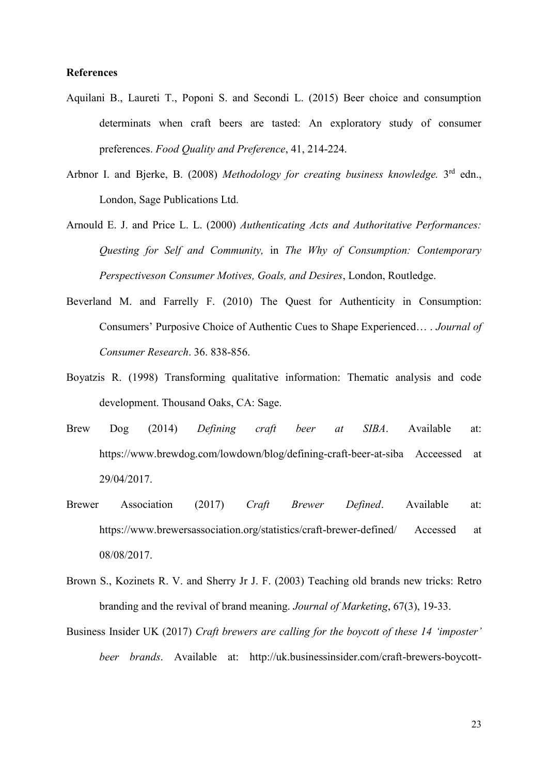#### **References**

- Aquilani B., Laureti T., Poponi S. and Secondi L. (2015) Beer choice and consumption determinats when craft beers are tasted: An exploratory study of consumer preferences. *Food Quality and Preference*, 41, 214-224.
- <span id="page-22-0"></span>Arbnor I. and Bjerke, B. (2008) Methodology for creating business knowledge. 3<sup>rd</sup> edn., London, Sage Publications Ltd.
- Arnould E. J. and Price L. L. (2000) *Authenticating Acts and Authoritative Performances: Questing for Self and Community,* in *The Why of Consumption: Contemporary Perspectiveson Consumer Motives, Goals, and Desires*, London, Routledge.
- Beverland M. and Farrelly F. (2010) The Quest for Authenticity in Consumption: Consumers' Purposive Choice of Authentic Cues to Shape Experienced… . *Journal of Consumer Research*. 36. 838-856.
- Boyatzis R. (1998) Transforming qualitative information: Thematic analysis and code development. Thousand Oaks, CA: Sage.
- Brew Dog (2014) *Defining craft beer at SIBA*. Available at: <https://www.brewdog.com/lowdown/blog/defining-craft-beer-at-siba> Acceessed at 29/04/2017.
- Brewer Association (2017) *Craft Brewer Defined*. Available at: <https://www.brewersassociation.org/statistics/craft-brewer-defined/> Accessed at 08/08/2017.
- Brown S., Kozinets R. V. and Sherry Jr J. F. (2003) Teaching old brands new tricks: Retro branding and the revival of brand meaning. *Journal of Marketing*, 67(3), 19-33.
- Business Insider UK (2017) *Craft brewers are calling for the boycott of these 14 'imposter' beer brands*. Available at: [http://uk.businessinsider.com/craft-brewers-boycott-](http://uk.businessinsider.com/craft-brewers-boycott-brands-acquired-by-anheuser-busch-2017-5?r=USandIR=T/#1-goose-island-1)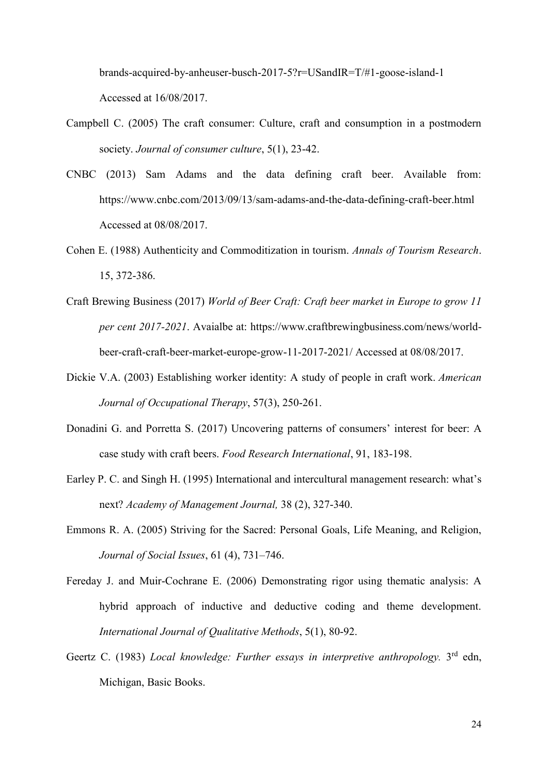[brands-acquired-by-anheuser-busch-2017-5?r=USandIR=T/#1-goose-island-1](http://uk.businessinsider.com/craft-brewers-boycott-brands-acquired-by-anheuser-busch-2017-5?r=USandIR=T/#1-goose-island-1) Accessed at 16/08/2017.

- Campbell C. (2005) The craft consumer: Culture, craft and consumption in a postmodern society. *Journal of consumer culture*, 5(1), 23-42.
- CNBC (2013) Sam Adams and the data defining craft beer. Available from: <https://www.cnbc.com/2013/09/13/sam-adams-and-the-data-defining-craft-beer.html> Accessed at 08/08/2017.
- Cohen E. (1988) Authenticity and Commoditization in tourism. *Annals of Tourism Research*. 15, 372-386.
- Craft Brewing Business (2017) *World of Beer Craft: Craft beer market in Europe to grow 11 per cent 2017-2021*. Avaialbe at: [https://www.craftbrewingbusiness.com/news/world](https://www.craftbrewingbusiness.com/news/world-beer-craft-craft-beer-market-europe-grow-11-2017-2021/)[beer-craft-craft-beer-market-europe-grow-11-2017-2021/](https://www.craftbrewingbusiness.com/news/world-beer-craft-craft-beer-market-europe-grow-11-2017-2021/) Accessed at 08/08/2017.
- Dickie V.A. (2003) Establishing worker identity: A study of people in craft work. *American Journal of Occupational Therapy*, 57(3), 250-261.
- Donadini G. and Porretta S. (2017) Uncovering patterns of consumers' interest for beer: A case study with craft beers. *Food Research International*, 91, 183-198.
- <span id="page-23-1"></span>Earley P. C. and Singh H. (1995) International and intercultural management research: what's next? *Academy of Management Journal,* 38 (2), 327-340.
- Emmons R. A. (2005) Striving for the Sacred: Personal Goals, Life Meaning, and Religion, *Journal of Social Issues*, 61 (4), 731–746.
- Fereday J. and Muir-Cochrane E. (2006) Demonstrating rigor using thematic analysis: A hybrid approach of inductive and deductive coding and theme development. *International Journal of Qualitative Methods*, 5(1), 80-92.
- <span id="page-23-0"></span>Geertz C. (1983) *Local knowledge: Further essays in interpretive anthropology*. 3<sup>rd</sup> edn, Michigan, Basic Books.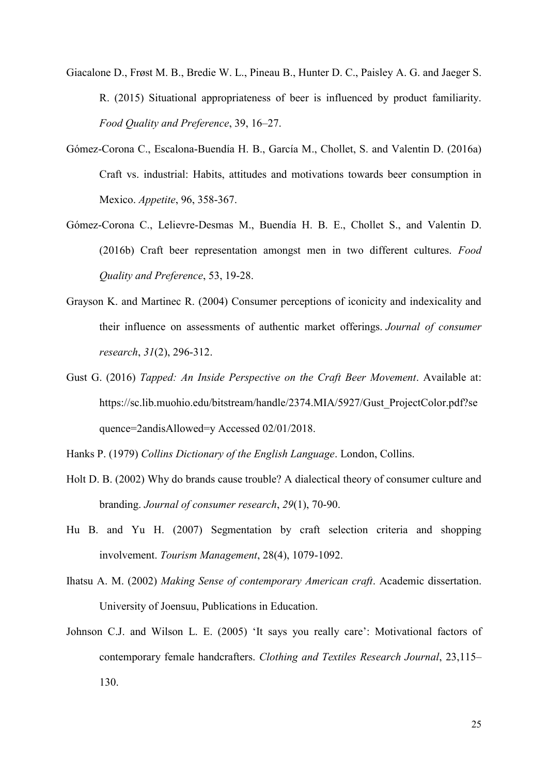- Giacalone D., Frøst M. B., Bredie W. L., Pineau B., Hunter D. C., Paisley A. G. and Jaeger S. R. (2015) Situational appropriateness of beer is influenced by product familiarity. *Food Quality and Preference*, 39, 16–27.
- Gómez-Corona C., Escalona-Buendía H. B., García M., Chollet, S. and Valentin D. (2016a) Craft vs. industrial: Habits, attitudes and motivations towards beer consumption in Mexico. *Appetite*, 96, 358-367.
- Gómez-Corona C., Lelievre-Desmas M., Buendía H. B. E., Chollet S., and Valentin D. (2016b) Craft beer representation amongst men in two different cultures. *Food Quality and Preference*, 53, 19-28.
- Grayson K. and Martinec R. (2004) Consumer perceptions of iconicity and indexicality and their influence on assessments of authentic market offerings. *Journal of consumer research*, *31*(2), 296-312.
- Gust G. (2016) *Tapped: An Inside Perspective on the Craft Beer Movement*. Available at: [https://sc.lib.muohio.edu/bitstream/handle/2374.MIA/5927/Gust\\_ProjectColor.pdf?se](https://sc.lib.muohio.edu/bitstream/handle/2374.MIA/5927/Gust_ProjectColor.pdf?sequence=2&isAllowed=y) [quence=2andisAllowed=y](https://sc.lib.muohio.edu/bitstream/handle/2374.MIA/5927/Gust_ProjectColor.pdf?sequence=2&isAllowed=y) Accessed 02/01/2018.
- Hanks P. (1979) *Collins Dictionary of the English Language*. London, Collins.
- Holt D. B. (2002) Why do brands cause trouble? A dialectical theory of consumer culture and branding. *Journal of consumer research*, *29*(1), 70-90.
- Hu B. and Yu H. (2007) Segmentation by craft selection criteria and shopping involvement. *Tourism Management*, 28(4), 1079-1092.
- Ihatsu A. M. (2002) *Making Sense of contemporary American craft*. Academic dissertation. University of Joensuu, Publications in Education.
- Johnson C.J. and Wilson L. E. (2005) 'It says you really care': Motivational factors of contemporary female handcrafters. *Clothing and Textiles Research Journal*, 23,115– 130.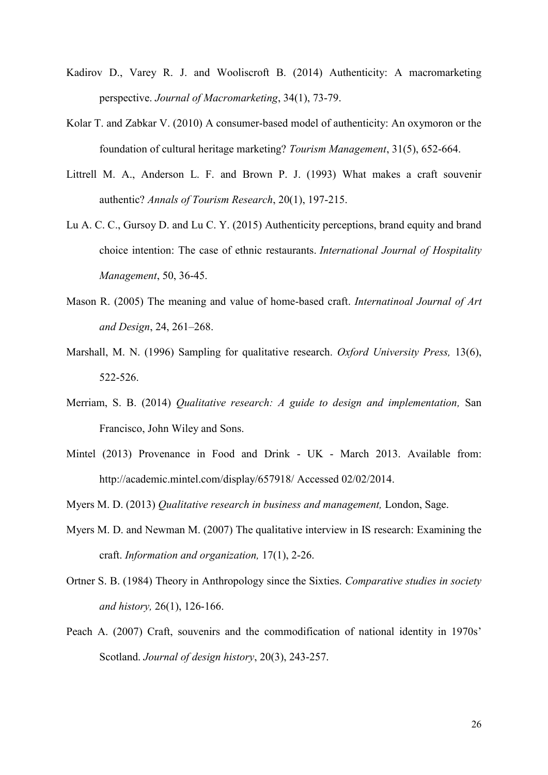- Kadirov D., Varey R. J. and Wooliscroft B. (2014) Authenticity: A macromarketing perspective. *Journal of Macromarketing*, 34(1), 73-79.
- Kolar T. and Zabkar V. (2010) A consumer-based model of authenticity: An oxymoron or the foundation of cultural heritage marketing? *Tourism Management*, 31(5), 652-664.
- Littrell M. A., Anderson L. F. and Brown P. J. (1993) What makes a craft souvenir authentic? *Annals of Tourism Research*, 20(1), 197-215.
- Lu A. C. C., Gursoy D. and Lu C. Y. (2015) Authenticity perceptions, brand equity and brand choice intention: The case of ethnic restaurants. *International Journal of Hospitality Management*, 50, 36-45.
- Mason R. (2005) The meaning and value of home-based craft. *Internatinoal Journal of Art and Design*, 24, 261–268.
- <span id="page-25-3"></span>Marshall, M. N. (1996) Sampling for qualitative research. *Oxford University Press,* 13(6), 522-526.
- <span id="page-25-2"></span>Merriam, S. B. (2014) *Qualitative research: A guide to design and implementation,* San Francisco, John Wiley and Sons.
- Mintel (2013) Provenance in Food and Drink UK March 2013. Available from: <http://academic.mintel.com/display/657918/> Accessed 02/02/2014.
- <span id="page-25-1"></span>Myers M. D. (2013) *Qualitative research in business and management,* London, Sage.
- Myers M. D. and Newman M. (2007) The qualitative interview in IS research: Examining the craft. *Information and organization,* 17(1), 2-26.
- <span id="page-25-0"></span>Ortner S. B. (1984) Theory in Anthropology since the Sixties. *Comparative studies in society and history,* 26(1), 126-166.
- Peach A. (2007) Craft, souvenirs and the commodification of national identity in 1970s' Scotland. *Journal of design history*, 20(3), 243-257.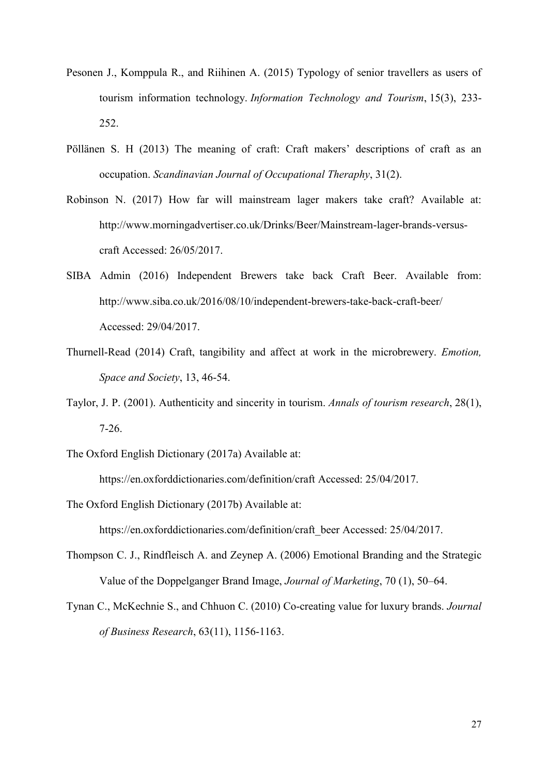- Pesonen J., Komppula R., and Riihinen A. (2015) Typology of senior travellers as users of tourism information technology. *Information Technology and Tourism*, 15(3), 233- 252.
- Pöllänen S. H (2013) The meaning of craft: Craft makers' descriptions of craft as an occupation. *Scandinavian Journal of Occupational Theraphy*, 31(2).
- Robinson N. (2017) How far will mainstream lager makers take craft? Available at: [http://www.morningadvertiser.co.uk/Drinks/Beer/Mainstream-lager-brands-versus](http://www.morningadvertiser.co.uk/Drinks/Beer/Mainstream-lager-brands-versus-craft)[craft](http://www.morningadvertiser.co.uk/Drinks/Beer/Mainstream-lager-brands-versus-craft) Accessed: 26/05/2017.
- SIBA Admin (2016) Independent Brewers take back Craft Beer. Available from: [http://www.siba.co.uk/2016/08/10/independent-brewers-take-back-craft-beer/](http://www.siba.co.uk/2016/08/10/independent-brewers-take-back-craft-beer/%20Accessed)  [Accessed:](http://www.siba.co.uk/2016/08/10/independent-brewers-take-back-craft-beer/%20Accessed) 29/04/2017.
- Thurnell-Read (2014) Craft, tangibility and affect at work in the microbrewery. *Emotion, Space and Society*, 13, 46-54.
- Taylor, J. P. (2001). Authenticity and sincerity in tourism. *Annals of tourism research*, 28(1), 7-26.
- The Oxford English Dictionary (2017a) Available at:

<https://en.oxforddictionaries.com/definition/craft> Accessed: 25/04/2017.

The Oxford English Dictionary (2017b) Available at:

[https://en.oxforddictionaries.com/definition/craft\\_beer](https://en.oxforddictionaries.com/definition/craft_beer) Accessed: 25/04/2017.

- Thompson C. J., Rindfleisch A. and Zeynep A. (2006) Emotional Branding and the Strategic Value of the Doppelganger Brand Image, *Journal of Marketing*, 70 (1), 50–64.
- Tynan C., McKechnie S., and Chhuon C. (2010) Co-creating value for luxury brands. *Journal of Business Research*, 63(11), 1156-1163.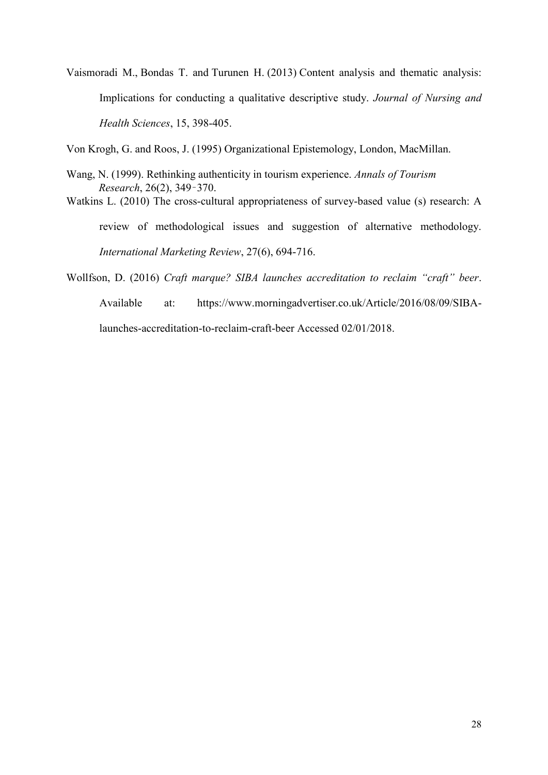Vaismoradi M., Bondas T. and Turunen H. (2013) Content analysis and thematic analysis: Implications for conducting a qualitative descriptive study. *Journal of Nursing and Health Sciences*, 15, 398-405.

<span id="page-27-1"></span><span id="page-27-0"></span>Von Krogh, G. and Roos, J. (1995) Organizational Epistemology, London, MacMillan.

- Wang, N. (1999). Rethinking authenticity in tourism experience. *Annals of Tourism Research*, 26(2), 349–370.
- Watkins L. (2010) The cross-cultural appropriateness of survey-based value (s) research: A review of methodological issues and suggestion of alternative methodology. *International Marketing Review*, 27(6), 694-716.

Wollfson, D. (2016) *Craft marque? SIBA launches accreditation to reclaim "craft" beer*.

Available at: [https://www.morningadvertiser.co.uk/Article/2016/08/09/SIBA-](https://www.morningadvertiser.co.uk/Article/2016/08/09/SIBA-launches-accreditation-to-reclaim-craft-beer%20Accessed%2002/01/2018)

[launches-accreditation-to-reclaim-craft-beer Accessed 02/01/2018.](https://www.morningadvertiser.co.uk/Article/2016/08/09/SIBA-launches-accreditation-to-reclaim-craft-beer%20Accessed%2002/01/2018)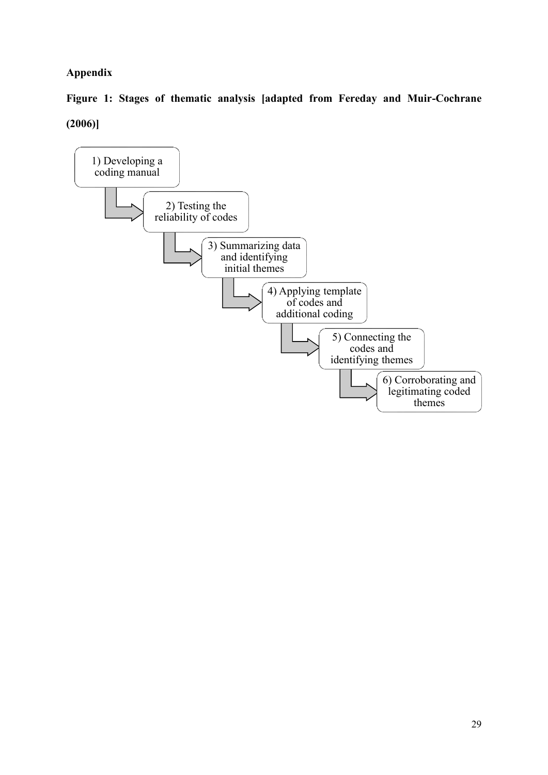## **Appendix**

**Figure 1: Stages of thematic analysis [adapted from Fereday and Muir-Cochrane (2006)]**

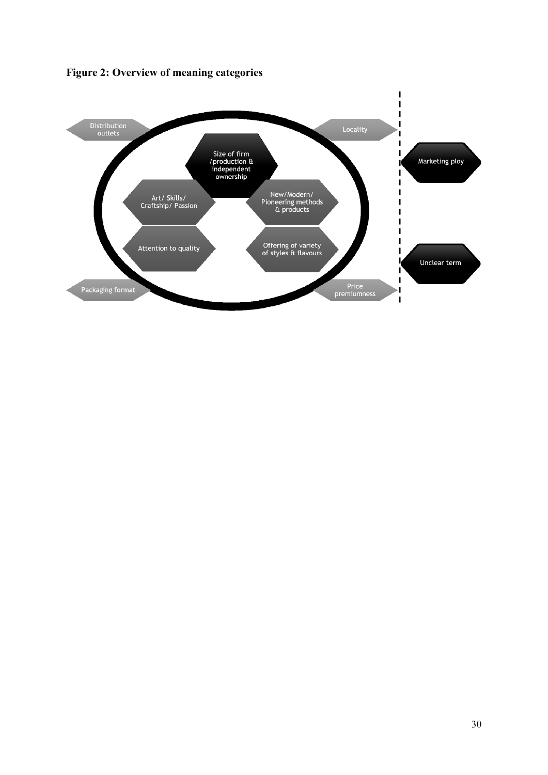**Figure 2: Overview of meaning categories**

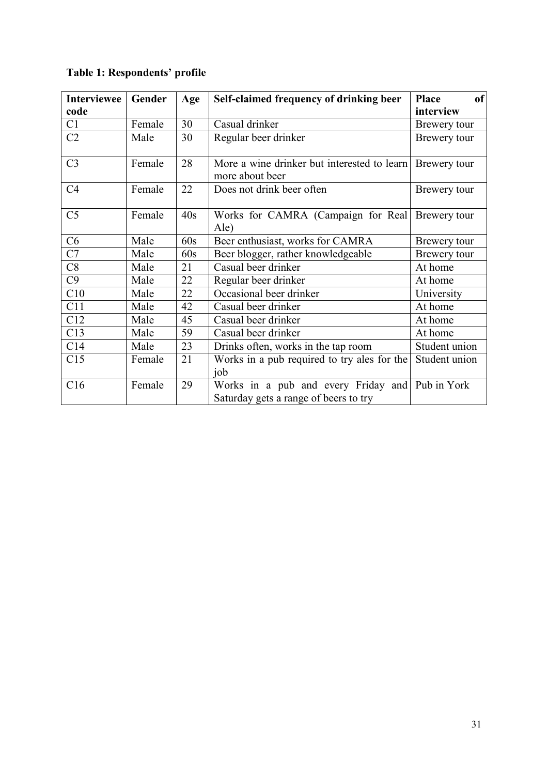# **Table 1: Respondents' profile**

| <b>Interviewee</b> | Gender | Age | Self-claimed frequency of drinking beer                                                  | of<br><b>Place</b> |
|--------------------|--------|-----|------------------------------------------------------------------------------------------|--------------------|
| code               |        |     |                                                                                          | interview          |
| C1                 | Female | 30  | Casual drinker                                                                           | Brewery tour       |
| C <sub>2</sub>     | Male   | 30  | Regular beer drinker                                                                     | Brewery tour       |
| C <sub>3</sub>     | Female | 28  | More a wine drinker but interested to learn<br>more about beer                           | Brewery tour       |
| C <sub>4</sub>     | Female | 22  | Does not drink beer often                                                                | Brewery tour       |
| C <sub>5</sub>     | Female | 40s | Works for CAMRA (Campaign for Real)<br>Ale)                                              | Brewery tour       |
| C6                 | Male   | 60s | Beer enthusiast, works for CAMRA                                                         | Brewery tour       |
| C7                 | Male   | 60s | Beer blogger, rather knowledgeable                                                       | Brewery tour       |
| C8                 | Male   | 21  | Casual beer drinker                                                                      | At home            |
| C9                 | Male   | 22  | Regular beer drinker                                                                     | At home            |
| C10                | Male   | 22  | Occasional beer drinker                                                                  | University         |
| C11                | Male   | 42  | Casual beer drinker                                                                      | At home            |
| C12                | Male   | 45  | Casual beer drinker                                                                      | At home            |
| C13                | Male   | 59  | Casual beer drinker                                                                      | At home            |
| C14                | Male   | 23  | Drinks often, works in the tap room                                                      | Student union      |
| C15                | Female | 21  | Works in a pub required to try ales for the<br>job                                       | Student union      |
| C16                | Female | 29  | Works in a pub and every Friday and Pub in York<br>Saturday gets a range of beers to try |                    |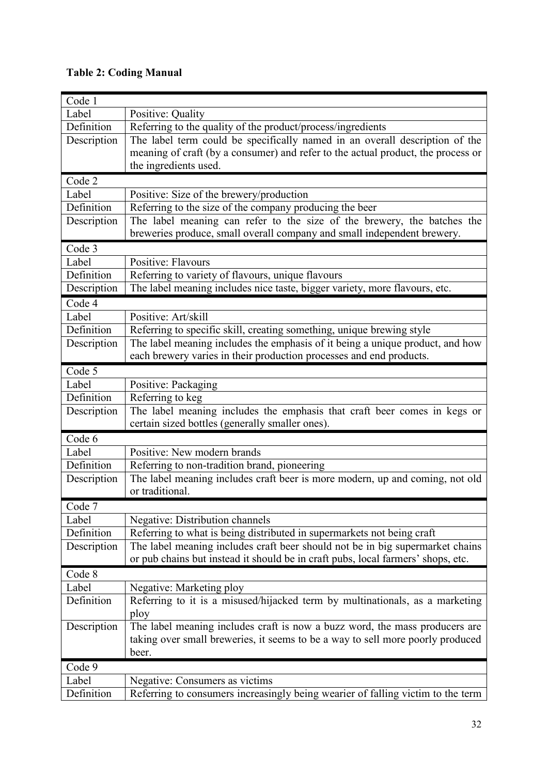## **Table 2: Coding Manual**

| Code 1      |                                                                                  |  |  |
|-------------|----------------------------------------------------------------------------------|--|--|
| Label       | Positive: Quality                                                                |  |  |
| Definition  | Referring to the quality of the product/process/ingredients                      |  |  |
| Description | The label term could be specifically named in an overall description of the      |  |  |
|             | meaning of craft (by a consumer) and refer to the actual product, the process or |  |  |
|             | the ingredients used.                                                            |  |  |
| Code 2      |                                                                                  |  |  |
| Label       | Positive: Size of the brewery/production                                         |  |  |
| Definition  | Referring to the size of the company producing the beer                          |  |  |
| Description | The label meaning can refer to the size of the brewery, the batches the          |  |  |
|             | breweries produce, small overall company and small independent brewery.          |  |  |
| Code 3      |                                                                                  |  |  |
| Label       | Positive: Flavours                                                               |  |  |
| Definition  | Referring to variety of flavours, unique flavours                                |  |  |
| Description | The label meaning includes nice taste, bigger variety, more flavours, etc.       |  |  |
| Code 4      |                                                                                  |  |  |
| Label       | Positive: Art/skill                                                              |  |  |
| Definition  | Referring to specific skill, creating something, unique brewing style            |  |  |
| Description | The label meaning includes the emphasis of it being a unique product, and how    |  |  |
|             | each brewery varies in their production processes and end products.              |  |  |
| Code 5      |                                                                                  |  |  |
| Label       | Positive: Packaging                                                              |  |  |
| Definition  | Referring to keg                                                                 |  |  |
| Description | The label meaning includes the emphasis that craft beer comes in kegs or         |  |  |
|             | certain sized bottles (generally smaller ones).                                  |  |  |
| Code 6      |                                                                                  |  |  |
| Label       | Positive: New modern brands                                                      |  |  |
| Definition  | Referring to non-tradition brand, pioneering                                     |  |  |
| Description | The label meaning includes craft beer is more modern, up and coming, not old     |  |  |
|             | or traditional.                                                                  |  |  |
| Code 7      |                                                                                  |  |  |
| Label       | Negative: Distribution channels                                                  |  |  |
| Definition  | Referring to what is being distributed in supermarkets not being craft           |  |  |
| Description | The label meaning includes craft beer should not be in big supermarket chains    |  |  |
|             | or pub chains but instead it should be in craft pubs, local farmers' shops, etc. |  |  |
| Code 8      |                                                                                  |  |  |
| Label       | Negative: Marketing ploy                                                         |  |  |
| Definition  | Referring to it is a misused/hijacked term by multinationals, as a marketing     |  |  |
|             | ploy                                                                             |  |  |
| Description | The label meaning includes craft is now a buzz word, the mass producers are      |  |  |
|             | taking over small breweries, it seems to be a way to sell more poorly produced   |  |  |
|             | beer.                                                                            |  |  |
| Code 9      |                                                                                  |  |  |
| Label       | Negative: Consumers as victims                                                   |  |  |
| Definition  | Referring to consumers increasingly being wearier of falling victim to the term  |  |  |